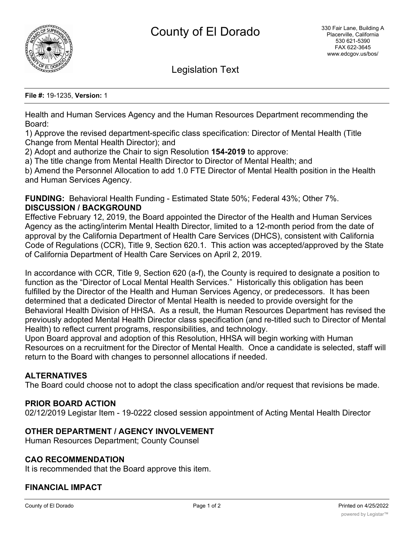

Legislation Text

#### **File #:** 19-1235, **Version:** 1

Health and Human Services Agency and the Human Resources Department recommending the Board:

1) Approve the revised department-specific class specification: Director of Mental Health (Title Change from Mental Health Director); and

2) Adopt and authorize the Chair to sign Resolution **154-2019** to approve:

a) The title change from Mental Health Director to Director of Mental Health; and

b) Amend the Personnel Allocation to add 1.0 FTE Director of Mental Health position in the Health and Human Services Agency.

**FUNDING:** Behavioral Health Funding - Estimated State 50%; Federal 43%; Other 7%. **DISCUSSION / BACKGROUND**

Effective February 12, 2019, the Board appointed the Director of the Health and Human Services Agency as the acting/interim Mental Health Director, limited to a 12-month period from the date of approval by the California Department of Health Care Services (DHCS), consistent with California Code of Regulations (CCR), Title 9, Section 620.1. This action was accepted/approved by the State of California Department of Health Care Services on April 2, 2019.

In accordance with CCR, Title 9, Section 620 (a-f), the County is required to designate a position to function as the "Director of Local Mental Health Services." Historically this obligation has been fulfilled by the Director of the Health and Human Services Agency, or predecessors. It has been determined that a dedicated Director of Mental Health is needed to provide oversight for the Behavioral Health Division of HHSA. As a result, the Human Resources Department has revised the previously adopted Mental Health Director class specification (and re-titled such to Director of Mental Health) to reflect current programs, responsibilities, and technology.

Upon Board approval and adoption of this Resolution, HHSA will begin working with Human Resources on a recruitment for the Director of Mental Health. Once a candidate is selected, staff will return to the Board with changes to personnel allocations if needed.

### **ALTERNATIVES**

The Board could choose not to adopt the class specification and/or request that revisions be made.

### **PRIOR BOARD ACTION**

02/12/2019 Legistar Item - 19-0222 closed session appointment of Acting Mental Health Director

## **OTHER DEPARTMENT / AGENCY INVOLVEMENT**

Human Resources Department; County Counsel

### **CAO RECOMMENDATION**

It is recommended that the Board approve this item.

## **FINANCIAL IMPACT**